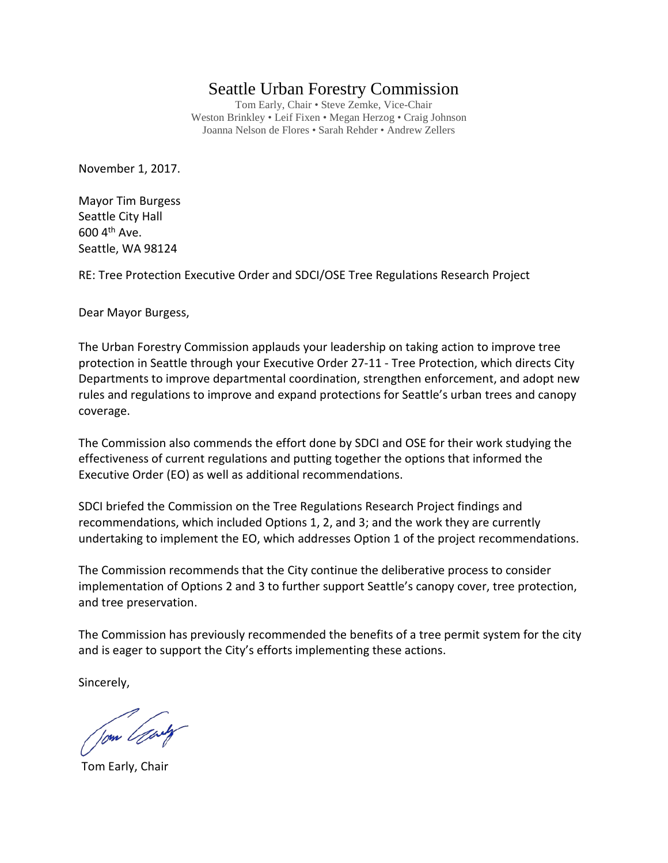## Seattle Urban Forestry Commission

Tom Early, Chair • Steve Zemke, Vice-Chair Weston Brinkley • Leif Fixen • Megan Herzog • Craig Johnson Joanna Nelson de Flores • Sarah Rehder • Andrew Zellers

November 1, 2017.

Mayor Tim Burgess Seattle City Hall  $600$  4<sup>th</sup> Ave. Seattle, WA 98124

RE: Tree Protection Executive Order and SDCI/OSE Tree Regulations Research Project

Dear Mayor Burgess,

The Urban Forestry Commission applauds your leadership on taking action to improve tree protection in Seattle through your Executive Order 27-11 - Tree Protection, which directs City Departments to improve departmental coordination, strengthen enforcement, and adopt new rules and regulations to improve and expand protections for Seattle's urban trees and canopy coverage.

The Commission also commends the effort done by SDCI and OSE for their work studying the effectiveness of current regulations and putting together the options that informed the Executive Order (EO) as well as additional recommendations.

SDCI briefed the Commission on the Tree Regulations Research Project findings and recommendations, which included Options 1, 2, and 3; and the work they are currently undertaking to implement the EO, which addresses Option 1 of the project recommendations.

The Commission recommends that the City continue the deliberative process to consider implementation of Options 2 and 3 to further support Seattle's canopy cover, tree protection, and tree preservation.

The Commission has previously recommended the benefits of a tree permit system for the city and is eager to support the City's efforts implementing these actions.

Sincerely,

Jom Gody

Tom Early, Chair